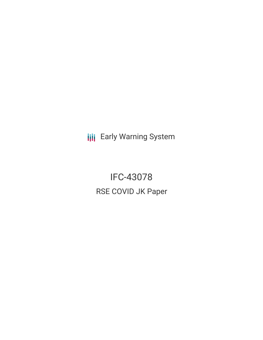**III** Early Warning System

IFC-43078 RSE COVID JK Paper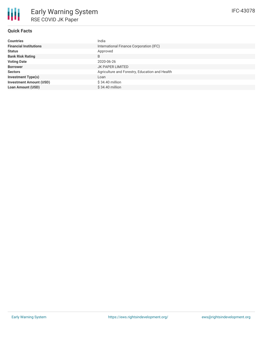

# **Quick Facts**

| <b>Countries</b>               | India                                          |  |  |
|--------------------------------|------------------------------------------------|--|--|
| <b>Financial Institutions</b>  | International Finance Corporation (IFC)        |  |  |
| <b>Status</b>                  | Approved                                       |  |  |
| <b>Bank Risk Rating</b>        | B                                              |  |  |
| <b>Voting Date</b>             | 2020-06-26                                     |  |  |
| <b>Borrower</b>                | JK PAPER LIMITED                               |  |  |
| <b>Sectors</b>                 | Agriculture and Forestry, Education and Health |  |  |
| <b>Investment Type(s)</b>      | Loan                                           |  |  |
| <b>Investment Amount (USD)</b> | $$34.40$ million                               |  |  |
| <b>Loan Amount (USD)</b>       | \$34.40 million                                |  |  |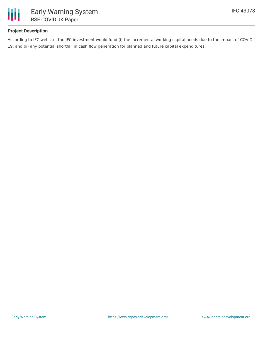

# **Project Description**

According to IFC website, the IFC investment would fund (i) the incremental working capital needs due to the impact of COVID-19; and (ii) any potential shortfall in cash flow generation for planned and future capital expenditures.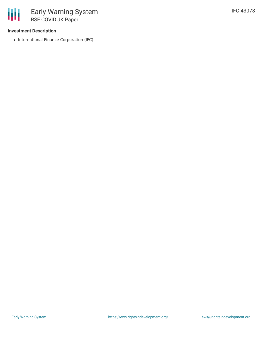### **Investment Description**

• International Finance Corporation (IFC)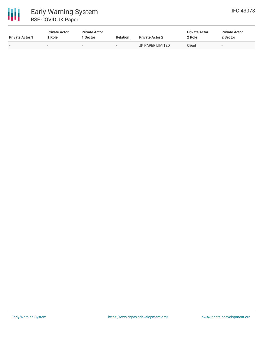

| <b>Private Actor 1</b>   | <b>Private Actor</b><br>Role | <b>Private Actor</b><br><b>Sector</b> | <b>Relation</b>          | <b>Private Actor 2</b> | <b>Private Actor</b><br>2 Role | <b>Private Actor</b><br>2 Sector |
|--------------------------|------------------------------|---------------------------------------|--------------------------|------------------------|--------------------------------|----------------------------------|
| $\overline{\phantom{0}}$ | $\sim$                       | $-$                                   | $\overline{\phantom{0}}$ | JK PAPER LIMITED       | Client                         |                                  |